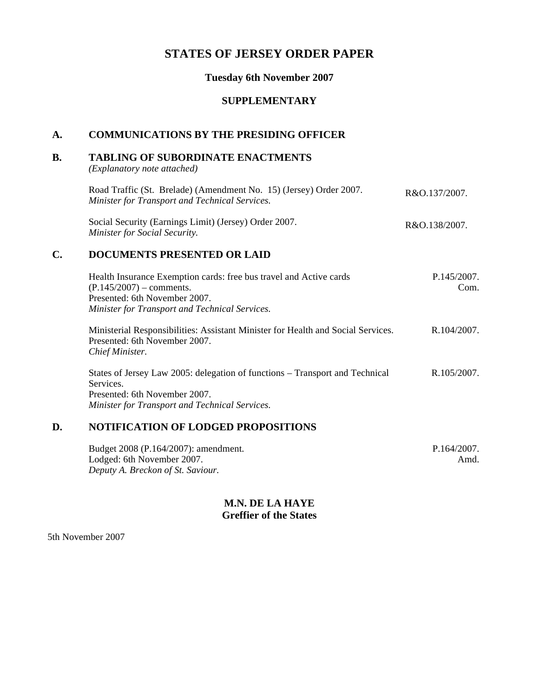# **STATES OF JERSEY ORDER PAPER**

#### **Tuesday 6th November 2007**

#### **SUPPLEMENTARY**

# **A. COMMUNICATIONS BY THE PRESIDING OFFICER**

#### **B. TABLING OF SUBORDINATE ENACTMENTS**

*(Explanatory note attached)*

| Road Traffic (St. Brelade) (Amendment No. 15) (Jersey) Order 2007. | R&O.137/2007. |
|--------------------------------------------------------------------|---------------|
| Minister for Transport and Technical Services.                     |               |
|                                                                    |               |

Social Security (Earnings Limit) (Jersey) Order 2007. *Minister for Social Security.* R&O.138/2007.

## **C. DOCUMENTS PRESENTED OR LAID**

| Health Insurance Exemption cards: free bus travel and Active cards | P.145/2007. |
|--------------------------------------------------------------------|-------------|
| $(P.145/2007)$ – comments.                                         | Com.        |
| Presented: 6th November 2007.                                      |             |
| Minister for Transport and Technical Services.                     |             |
|                                                                    |             |

Ministerial Responsibilities: Assistant Minister for Health and Social Services. Presented: 6th November 2007. *Chief Minister.* R.104/2007.

States of Jersey Law 2005: delegation of functions – Transport and Technical Services. Presented: 6th November 2007. *Minister for Transport and Technical Services.* R.105/2007.

### **D. NOTIFICATION OF LODGED PROPOSITIONS**

| Budget 2008 (P.164/2007): amendment. | P.164/2007. |
|--------------------------------------|-------------|
| Lodged: 6th November 2007.           | Amd.        |
| Deputy A. Breckon of St. Saviour.    |             |

### **M.N. DE LA HAYE Greffier of the States**

5th November 2007